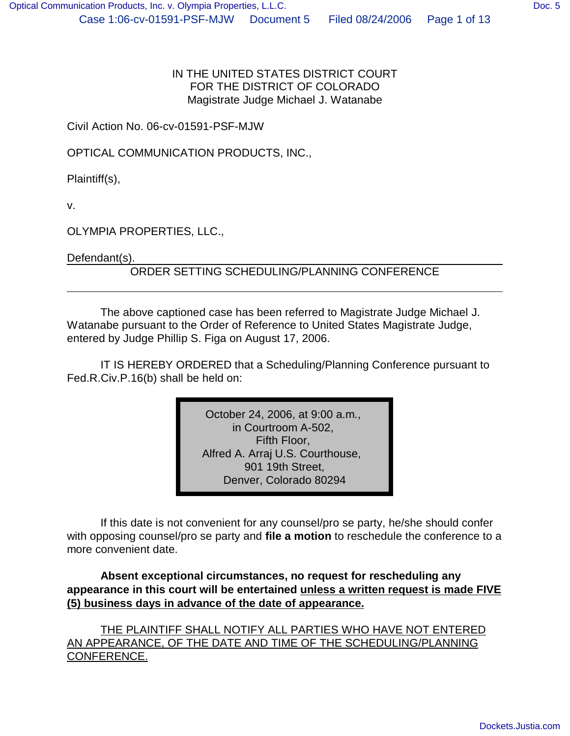IN THE UNITED STATES DISTRICT COURT FOR THE DISTRICT OF COLORADO Magistrate Judge Michael J. Watanabe

Civil Action No. 06-cv-01591-PSF-MJW

OPTICAL COMMUNICATION PRODUCTS, INC.,

Plaintiff(s),

v.

OLYMPIA PROPERTIES, LLC.,

Defendant(s).

ORDER SETTING SCHEDULING/PLANNING CONFERENCE

The above captioned case has been referred to Magistrate Judge Michael J. Watanabe pursuant to the Order of Reference to United States Magistrate Judge, entered by Judge Phillip S. Figa on August 17, 2006.

IT IS HEREBY ORDERED that a Scheduling/Planning Conference pursuant to Fed.R.Civ.P.16(b) shall be held on:

> October 24, 2006, at 9:00 a.m., in Courtroom A-502, Fifth Floor, Alfred A. Arraj U.S. Courthouse, 901 19th Street, Denver, Colorado 80294

If this date is not convenient for any counsel/pro se party, he/she should confer with opposing counsel/pro se party and **file a motion** to reschedule the conference to a more convenient date.

**Absent exceptional circumstances, no request for rescheduling any appearance in this court will be entertained unless a written request is made FIVE (5) business days in advance of the date of appearance.**

THE PLAINTIFF SHALL NOTIFY ALL PARTIES WHO HAVE NOT ENTERED AN APPEARANCE, OF THE DATE AND TIME OF THE SCHEDULING/PLANNING CONFERENCE.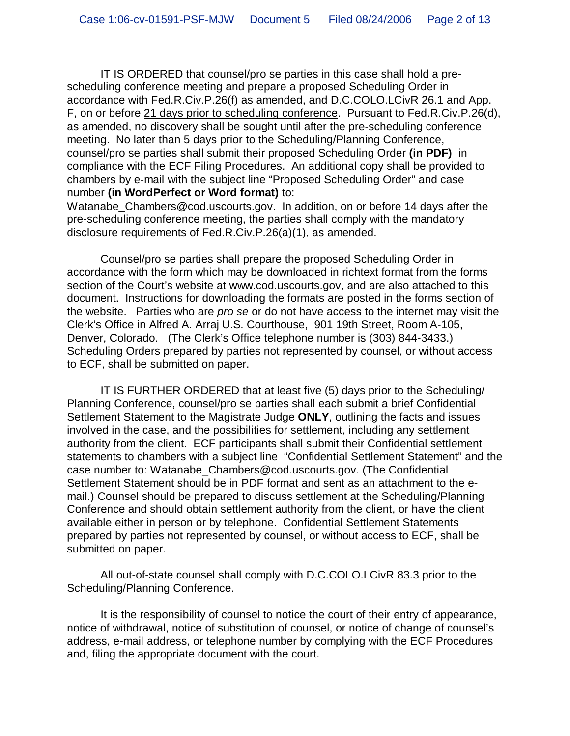IT IS ORDERED that counsel/pro se parties in this case shall hold a prescheduling conference meeting and prepare a proposed Scheduling Order in accordance with Fed.R.Civ.P.26(f) as amended, and D.C.COLO.LCivR 26.1 and App. F, on or before 21 days prior to scheduling conference. Pursuant to Fed.R.Civ.P.26(d), as amended, no discovery shall be sought until after the pre-scheduling conference meeting. No later than 5 days prior to the Scheduling/Planning Conference, counsel/pro se parties shall submit their proposed Scheduling Order **(in PDF)** in compliance with the ECF Filing Procedures. An additional copy shall be provided to chambers by e-mail with the subject line "Proposed Scheduling Order" and case number **(in WordPerfect or Word format)** to:

Watanabe Chambers@cod.uscourts.gov. In addition, on or before 14 days after the pre-scheduling conference meeting, the parties shall comply with the mandatory disclosure requirements of Fed.R.Civ.P.26(a)(1), as amended.

Counsel/pro se parties shall prepare the proposed Scheduling Order in accordance with the form which may be downloaded in richtext format from the forms section of the Court's website at www.cod.uscourts.gov, and are also attached to this document. Instructions for downloading the formats are posted in the forms section of the website. Parties who are *pro se* or do not have access to the internet may visit the Clerk's Office in Alfred A. Arraj U.S. Courthouse, 901 19th Street, Room A-105, Denver, Colorado. (The Clerk's Office telephone number is (303) 844-3433.) Scheduling Orders prepared by parties not represented by counsel, or without access to ECF, shall be submitted on paper.

IT IS FURTHER ORDERED that at least five (5) days prior to the Scheduling/ Planning Conference, counsel/pro se parties shall each submit a brief Confidential Settlement Statement to the Magistrate Judge **ONLY**, outlining the facts and issues involved in the case, and the possibilities for settlement, including any settlement authority from the client. ECF participants shall submit their Confidential settlement statements to chambers with a subject line "Confidential Settlement Statement" and the case number to: Watanabe\_Chambers@cod.uscourts.gov. (The Confidential Settlement Statement should be in PDF format and sent as an attachment to the email.) Counsel should be prepared to discuss settlement at the Scheduling/Planning Conference and should obtain settlement authority from the client, or have the client available either in person or by telephone. Confidential Settlement Statements prepared by parties not represented by counsel, or without access to ECF, shall be submitted on paper.

All out-of-state counsel shall comply with D.C.COLO.LCivR 83.3 prior to the Scheduling/Planning Conference.

It is the responsibility of counsel to notice the court of their entry of appearance, notice of withdrawal, notice of substitution of counsel, or notice of change of counsel's address, e-mail address, or telephone number by complying with the ECF Procedures and, filing the appropriate document with the court.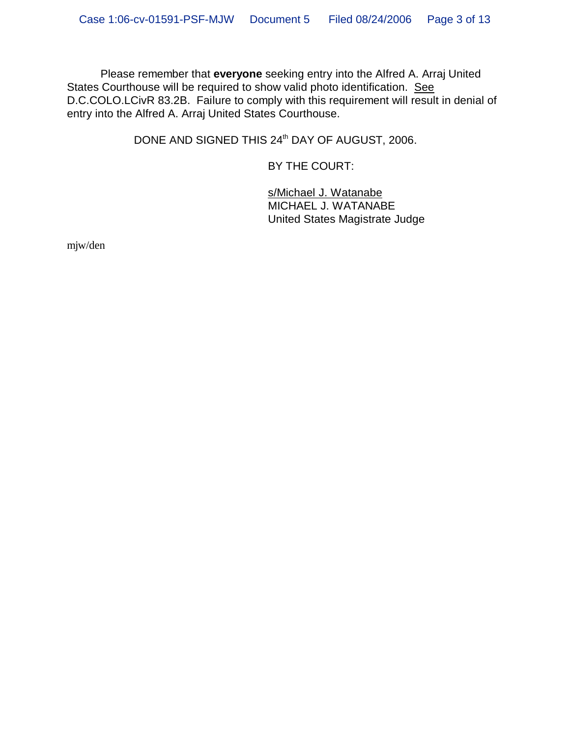Please remember that **everyone** seeking entry into the Alfred A. Arraj United States Courthouse will be required to show valid photo identification. See D.C.COLO.LCivR 83.2B. Failure to comply with this requirement will result in denial of entry into the Alfred A. Arraj United States Courthouse.

DONE AND SIGNED THIS 24<sup>th</sup> DAY OF AUGUST, 2006.

BY THE COURT:

s/Michael J. Watanabe MICHAEL J. WATANABE United States Magistrate Judge

mjw/den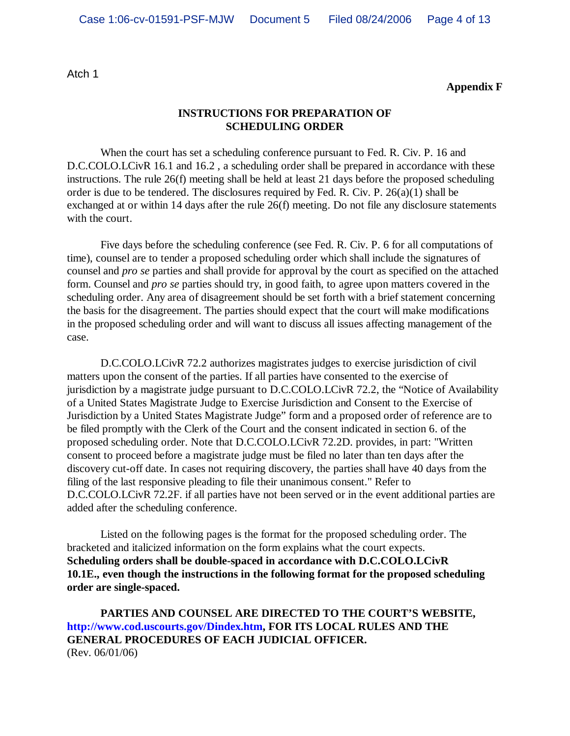Atch 1

**Appendix F**

#### **INSTRUCTIONS FOR PREPARATION OF SCHEDULING ORDER**

When the court has set a scheduling conference pursuant to Fed. R. Civ. P. 16 and D.C.COLO.LCivR 16.1 and 16.2, a scheduling order shall be prepared in accordance with these instructions. The rule 26(f) meeting shall be held at least 21 days before the proposed scheduling order is due to be tendered. The disclosures required by Fed. R. Civ. P. 26(a)(1) shall be exchanged at or within 14 days after the rule 26(f) meeting. Do not file any disclosure statements with the court.

Five days before the scheduling conference (see Fed. R. Civ. P. 6 for all computations of time), counsel are to tender a proposed scheduling order which shall include the signatures of counsel and *pro se* parties and shall provide for approval by the court as specified on the attached form. Counsel and *pro se* parties should try, in good faith, to agree upon matters covered in the scheduling order. Any area of disagreement should be set forth with a brief statement concerning the basis for the disagreement. The parties should expect that the court will make modifications in the proposed scheduling order and will want to discuss all issues affecting management of the case.

D.C.COLO.LCivR 72.2 authorizes magistrates judges to exercise jurisdiction of civil matters upon the consent of the parties. If all parties have consented to the exercise of jurisdiction by a magistrate judge pursuant to D.C.COLO.LCivR 72.2, the "Notice of Availability of a United States Magistrate Judge to Exercise Jurisdiction and Consent to the Exercise of Jurisdiction by a United States Magistrate Judge" form and a proposed order of reference are to be filed promptly with the Clerk of the Court and the consent indicated in section 6. of the proposed scheduling order. Note that D.C.COLO.LCivR 72.2D. provides, in part: "Written consent to proceed before a magistrate judge must be filed no later than ten days after the discovery cut-off date. In cases not requiring discovery, the parties shall have 40 days from the filing of the last responsive pleading to file their unanimous consent." Refer to D.C.COLO.LCivR 72.2F. if all parties have not been served or in the event additional parties are added after the scheduling conference.

Listed on the following pages is the format for the proposed scheduling order. The bracketed and italicized information on the form explains what the court expects. **Scheduling orders shall be double-spaced in accordance with D.C.COLO.LCivR 10.1E., even though the instructions in the following format for the proposed scheduling order are single-spaced.**

**PARTIES AND COUNSEL ARE DIRECTED TO THE COURT'S WEBSITE, http://www.cod.uscourts.gov/Dindex.htm, FOR ITS LOCAL RULES AND THE GENERAL PROCEDURES OF EACH JUDICIAL OFFICER.** (Rev. 06/01/06)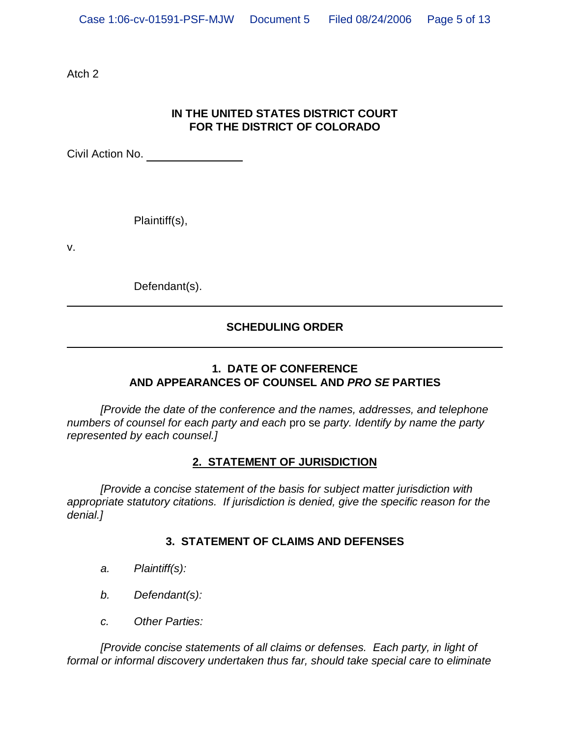Atch 2

## **IN THE UNITED STATES DISTRICT COURT FOR THE DISTRICT OF COLORADO**

Civil Action No.

Plaintiff(s),

v.

Defendant(s).

## **SCHEDULING ORDER**

## **1. DATE OF CONFERENCE AND APPEARANCES OF COUNSEL AND** *PRO SE* **PARTIES**

*[Provide the date of the conference and the names, addresses, and telephone numbers of counsel for each party and each* pro se *party. Identify by name the party represented by each counsel.]*

## **2. STATEMENT OF JURISDICTION**

*[Provide a concise statement of the basis for subject matter jurisdiction with appropriate statutory citations. If jurisdiction is denied, give the specific reason for the denial.]*

## **3. STATEMENT OF CLAIMS AND DEFENSES**

- *a. Plaintiff(s):*
- *b. Defendant(s):*
- *c. Other Parties:*

*[Provide concise statements of all claims or defenses. Each party, in light of formal or informal discovery undertaken thus far, should take special care to eliminate*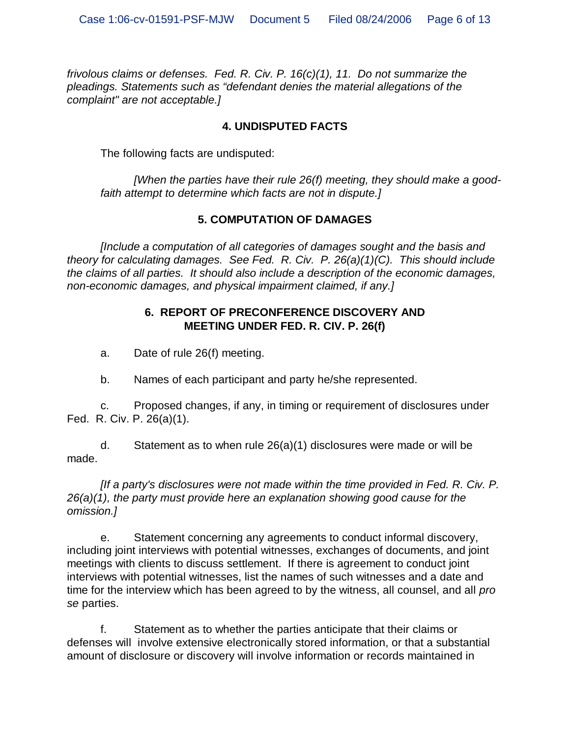*frivolous claims or defenses. Fed. R. Civ. P. 16(c)(1), 11. Do not summarize the pleadings. Statements such as "defendant denies the material allegations of the complaint" are not acceptable.]*

## **4. UNDISPUTED FACTS**

The following facts are undisputed:

*[When the parties have their rule 26(f) meeting, they should make a goodfaith attempt to determine which facts are not in dispute.]*

## **5. COMPUTATION OF DAMAGES**

*[Include a computation of all categories of damages sought and the basis and theory for calculating damages. See Fed. R. Civ. P. 26(a)(1)(C). This should include the claims of all parties. It should also include a description of the economic damages, non-economic damages, and physical impairment claimed, if any.]*

## **6. REPORT OF PRECONFERENCE DISCOVERY AND MEETING UNDER FED. R. CIV. P. 26(f)**

a. Date of rule 26(f) meeting.

b. Names of each participant and party he/she represented.

c. Proposed changes, if any, in timing or requirement of disclosures under Fed. R. Civ. P. 26(a)(1).

d. Statement as to when rule 26(a)(1) disclosures were made or will be made.

*[If a party's disclosures were not made within the time provided in Fed. R. Civ. P. 26(a)(1), the party must provide here an explanation showing good cause for the omission.]*

e. Statement concerning any agreements to conduct informal discovery, including joint interviews with potential witnesses, exchanges of documents, and joint meetings with clients to discuss settlement. If there is agreement to conduct joint interviews with potential witnesses, list the names of such witnesses and a date and time for the interview which has been agreed to by the witness, all counsel, and all *pro se* parties.

f. Statement as to whether the parties anticipate that their claims or defenses will involve extensive electronically stored information, or that a substantial amount of disclosure or discovery will involve information or records maintained in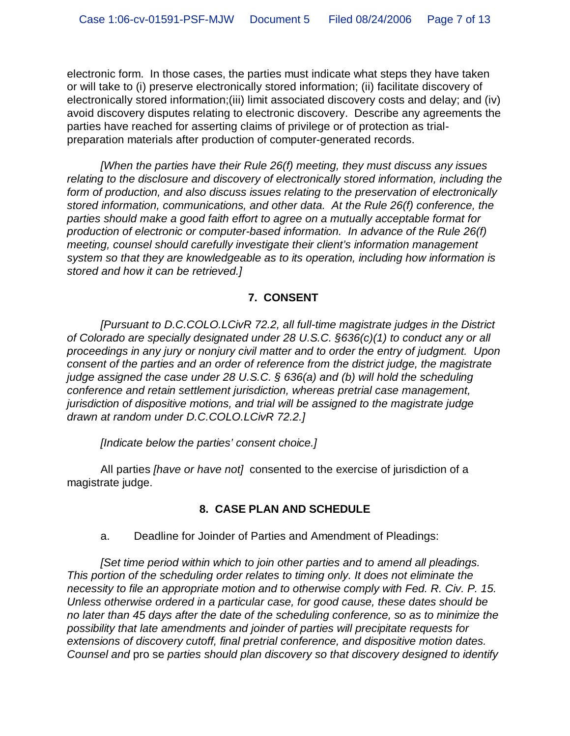electronic form. In those cases, the parties must indicate what steps they have taken or will take to (i) preserve electronically stored information; (ii) facilitate discovery of electronically stored information;(iii) limit associated discovery costs and delay; and (iv) avoid discovery disputes relating to electronic discovery. Describe any agreements the parties have reached for asserting claims of privilege or of protection as trialpreparation materials after production of computer-generated records.

*[When the parties have their Rule 26(f) meeting, they must discuss any issues relating to the disclosure and discovery of electronically stored information, including the form of production, and also discuss issues relating to the preservation of electronically stored information, communications, and other data. At the Rule 26(f) conference, the parties should make a good faith effort to agree on a mutually acceptable format for production of electronic or computer-based information. In advance of the Rule 26(f) meeting, counsel should carefully investigate their client's information management system so that they are knowledgeable as to its operation, including how information is stored and how it can be retrieved.]*

## **7. CONSENT**

*[Pursuant to D.C.COLO.LCivR 72.2, all full-time magistrate judges in the District of Colorado are specially designated under 28 U.S.C. §636(c)(1) to conduct any or all proceedings in any jury or nonjury civil matter and to order the entry of judgment. Upon consent of the parties and an order of reference from the district judge, the magistrate judge assigned the case under 28 U.S.C. § 636(a) and (b) will hold the scheduling conference and retain settlement jurisdiction, whereas pretrial case management, jurisdiction of dispositive motions, and trial will be assigned to the magistrate judge drawn at random under D.C.COLO.LCivR 72.2.]*

*[Indicate below the parties' consent choice.]*

All parties *[have or have not]* consented to the exercise of jurisdiction of a magistrate judge.

## **8. CASE PLAN AND SCHEDULE**

a. Deadline for Joinder of Parties and Amendment of Pleadings:

*[Set time period within which to join other parties and to amend all pleadings. This portion of the scheduling order relates to timing only. It does not eliminate the necessity to file an appropriate motion and to otherwise comply with Fed. R. Civ. P. 15. Unless otherwise ordered in a particular case, for good cause, these dates should be no later than 45 days after the date of the scheduling conference, so as to minimize the possibility that late amendments and joinder of parties will precipitate requests for extensions of discovery cutoff, final pretrial conference, and dispositive motion dates. Counsel and* pro se *parties should plan discovery so that discovery designed to identify*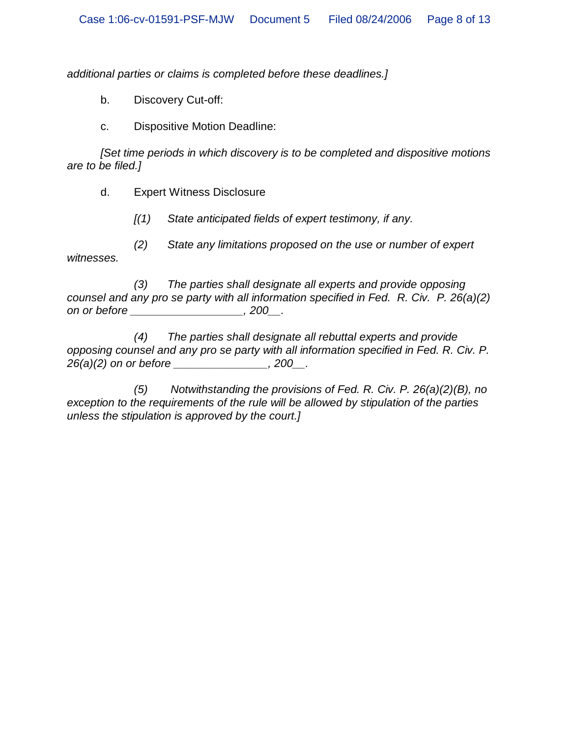*additional parties or claims is completed before these deadlines.]*

b. Discovery Cut-off:

c. Dispositive Motion Deadline:

*[Set time periods in which discovery is to be completed and dispositive motions are to be filed.]*

d. Expert Witness Disclosure

*[(1) State anticipated fields of expert testimony, if any.*

*(2) State any limitations proposed on the use or number of expert witnesses.*

*(3) The parties shall designate all experts and provide opposing counsel and any pro se party with all information specified in Fed. R. Civ. P. 26(a)(2) on or before \_\_\_\_\_\_\_\_\_\_\_\_\_\_\_\_\_\_, 200\_\_.*

*(4) The parties shall designate all rebuttal experts and provide opposing counsel and any pro se party with all information specified in Fed. R. Civ. P. 26(a)(2) on or before \_\_\_\_\_\_\_\_\_\_\_\_\_\_\_, 200\_\_.*

*(5) Notwithstanding the provisions of Fed. R. Civ. P. 26(a)(2)(B), no exception to the requirements of the rule will be allowed by stipulation of the parties unless the stipulation is approved by the court.]*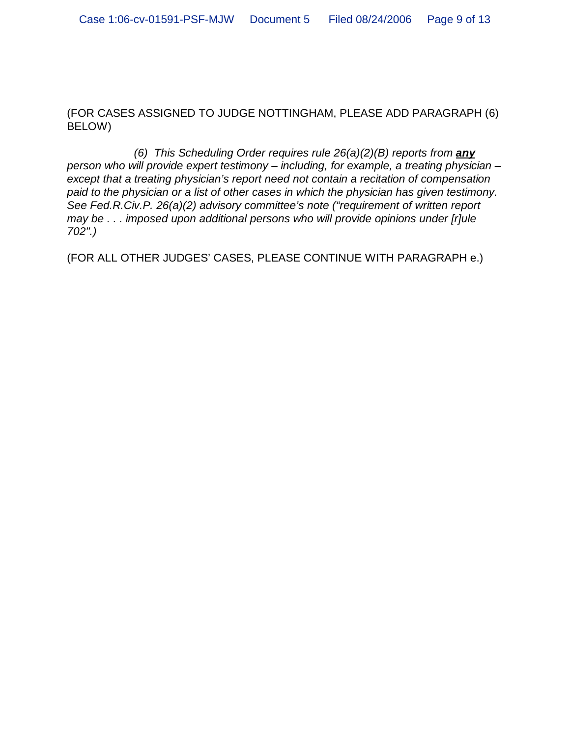(FOR CASES ASSIGNED TO JUDGE NOTTINGHAM, PLEASE ADD PARAGRAPH (6) BELOW)

*(6) This Scheduling Order requires rule 26(a)(2)(B) reports from any person who will provide expert testimony – including, for example, a treating physician – except that a treating physician's report need not contain a recitation of compensation paid to the physician or a list of other cases in which the physician has given testimony. See Fed.R.Civ.P. 26(a)(2) advisory committee's note ("requirement of written report may be . . . imposed upon additional persons who will provide opinions under [r]ule 702".)*

(FOR ALL OTHER JUDGES' CASES, PLEASE CONTINUE WITH PARAGRAPH e.)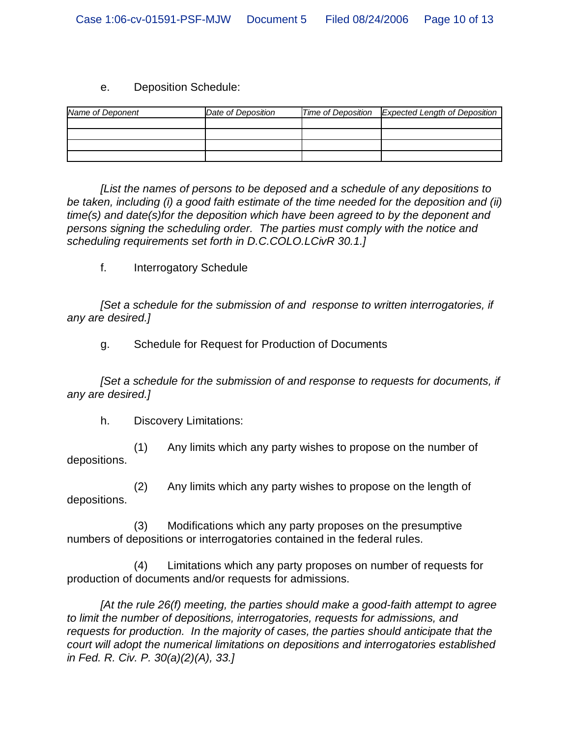#### e. Deposition Schedule:

| Name of Deponent | Date of Deposition | Time of Deposition Expected Length of Deposition |
|------------------|--------------------|--------------------------------------------------|
|                  |                    |                                                  |
|                  |                    |                                                  |
|                  |                    |                                                  |
|                  |                    |                                                  |

*[List the names of persons to be deposed and a schedule of any depositions to be taken, including (i) a good faith estimate of the time needed for the deposition and (ii) time(s) and date(s)for the deposition which have been agreed to by the deponent and persons signing the scheduling order. The parties must comply with the notice and scheduling requirements set forth in D.C.COLO.LCivR 30.1.]*

f. Interrogatory Schedule

*[Set a schedule for the submission of and response to written interrogatories, if any are desired.]*

g. Schedule for Request for Production of Documents

*[Set a schedule for the submission of and response to requests for documents, if any are desired.]*

h. Discovery Limitations:

(1) Any limits which any party wishes to propose on the number of depositions.

(2) Any limits which any party wishes to propose on the length of depositions.

(3) Modifications which any party proposes on the presumptive numbers of depositions or interrogatories contained in the federal rules.

(4) Limitations which any party proposes on number of requests for production of documents and/or requests for admissions.

*[At the rule 26(f) meeting, the parties should make a good-faith attempt to agree to limit the number of depositions, interrogatories, requests for admissions, and requests for production. In the majority of cases, the parties should anticipate that the court will adopt the numerical limitations on depositions and interrogatories established in Fed. R. Civ. P. 30(a)(2)(A), 33.]*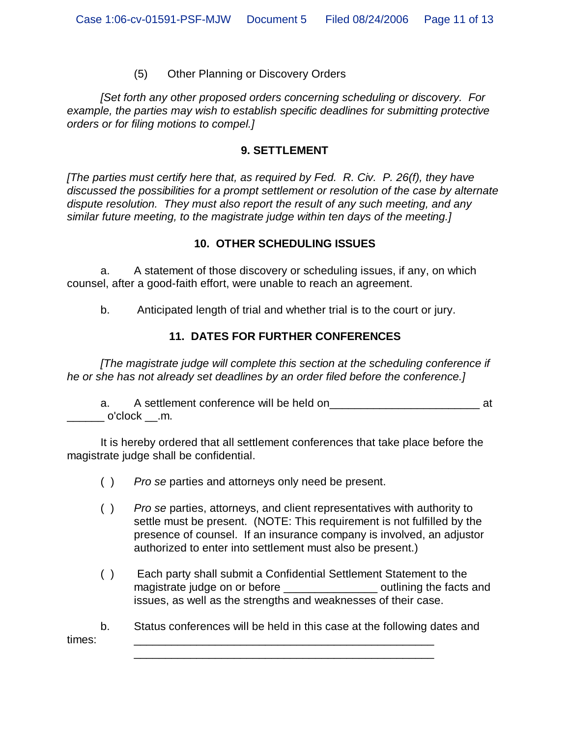(5) Other Planning or Discovery Orders

*[Set forth any other proposed orders concerning scheduling or discovery. For example, the parties may wish to establish specific deadlines for submitting protective orders or for filing motions to compel.]*

#### **9. SETTLEMENT**

*[The parties must certify here that, as required by Fed. R. Civ. P. 26(f), they have discussed the possibilities for a prompt settlement or resolution of the case by alternate dispute resolution. They must also report the result of any such meeting, and any similar future meeting, to the magistrate judge within ten days of the meeting.]*

#### **10. OTHER SCHEDULING ISSUES**

a. A statement of those discovery or scheduling issues, if any, on which counsel, after a good-faith effort, were unable to reach an agreement.

b. Anticipated length of trial and whether trial is to the court or jury.

## **11. DATES FOR FURTHER CONFERENCES**

*[The magistrate judge will complete this section at the scheduling conference if he or she has not already set deadlines by an order filed before the conference.]*

a. A settlement conference will be held on\_\_\_\_\_\_\_\_\_\_\_\_\_\_\_\_\_\_\_\_\_\_\_\_ at  $\_$  o'clock  $\_$ .m.

It is hereby ordered that all settlement conferences that take place before the magistrate judge shall be confidential.

- ( ) *Pro se* parties and attorneys only need be present.
- ( ) *Pro se* parties, attorneys, and client representatives with authority to settle must be present. (NOTE: This requirement is not fulfilled by the presence of counsel. If an insurance company is involved, an adjustor authorized to enter into settlement must also be present.)
- ( ) Each party shall submit a Confidential Settlement Statement to the magistrate judge on or before the section of continuing the facts and issues, as well as the strengths and weaknesses of their case.

b. Status conferences will be held in this case at the following dates and times: \_\_\_\_\_\_\_\_\_\_\_\_\_\_\_\_\_\_\_\_\_\_\_\_\_\_\_\_\_\_\_\_\_\_\_\_\_\_\_\_\_\_\_\_\_\_\_\_

\_\_\_\_\_\_\_\_\_\_\_\_\_\_\_\_\_\_\_\_\_\_\_\_\_\_\_\_\_\_\_\_\_\_\_\_\_\_\_\_\_\_\_\_\_\_\_\_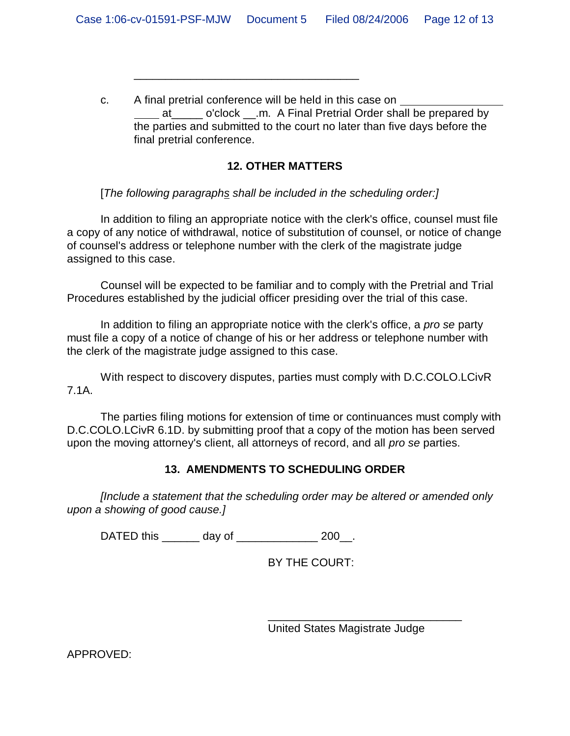c. A final pretrial conference will be held in this case on at o'clock .m. A Final Pretrial Order shall be prepared by the parties and submitted to the court no later than five days before the final pretrial conference.

## **12. OTHER MATTERS**

[*The following paragraphs shall be included in the scheduling order:]*

\_\_\_\_\_\_\_\_\_\_\_\_\_\_\_\_\_\_\_\_\_\_\_\_\_\_\_\_\_\_\_\_\_\_\_\_

In addition to filing an appropriate notice with the clerk's office, counsel must file a copy of any notice of withdrawal, notice of substitution of counsel, or notice of change of counsel's address or telephone number with the clerk of the magistrate judge assigned to this case.

Counsel will be expected to be familiar and to comply with the Pretrial and Trial Procedures established by the judicial officer presiding over the trial of this case.

In addition to filing an appropriate notice with the clerk's office, a *pro se* party must file a copy of a notice of change of his or her address or telephone number with the clerk of the magistrate judge assigned to this case.

With respect to discovery disputes, parties must comply with D.C.COLO.LCivR 7.1A.

The parties filing motions for extension of time or continuances must comply with D.C.COLO.LCivR 6.1D. by submitting proof that a copy of the motion has been served upon the moving attorney's client, all attorneys of record, and all *pro se* parties.

# **13. AMENDMENTS TO SCHEDULING ORDER**

*[Include a statement that the scheduling order may be altered or amended only upon a showing of good cause.]*

DATED this \_\_\_\_\_\_\_ day of \_\_\_\_\_\_\_\_\_\_\_\_\_\_\_ 200\_\_.

BY THE COURT:

United States Magistrate Judge

\_\_\_\_\_\_\_\_\_\_\_\_\_\_\_\_\_\_\_\_\_\_\_\_\_\_\_\_\_\_\_